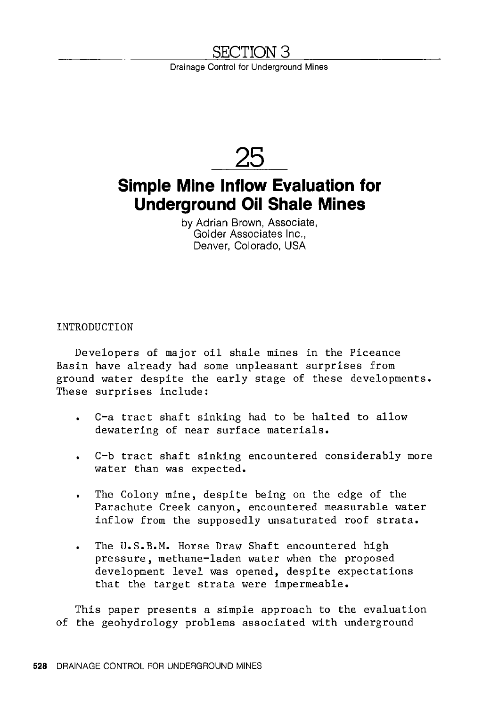## SECTION 3

Drainage Control for Underground Mines



# **Simple Mine Inflow Evaluation for Underground Oil Shale Mines**

by Adrian Brown, Associate, Golder Associates Inc., Denver, Colorado, USA

INTRODUCTION

Developers of major oil shale mines in the Piceance Basin have already had some unpleasant surprises from ground water despite the early stage of these developments. These surprises include:

- C-a tract shaft sinking had to be halted to allow dewatering of near surface materials.
- C-b tract shaft sinking encountered considerably more water than was expected.
- The Colony mine, despite being on the edge of the  $\bullet$ Parachute Creek canyon, encountered measurable water inflow from the supposedly unsaturated roof strata.
- The U.S.B.M. Horse Draw Shaft encountered high pressure, methane-laden water when the proposed development level was opened, despite expectations that the target strata were impermeable.

This paper presents a simple approach to the evaluation of the geohydrology problems associated with underground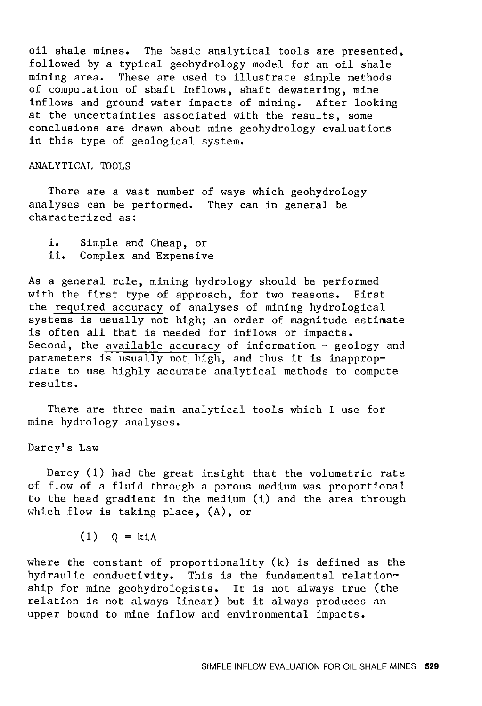oil shale mines. The basic analytical tools are presented, followed by a typical geohydrology model for an oil shale mining area. These are used to illustrate simple methods These are used to illustrate simple methods of computation of shaft inflows, shaft dewatering, mine inflows and ground water impacts of mining. After looking at the uncertainties associated with the results, some conclusions are drawn about mine geohydrology evaluations in this type of geological system.

#### ANALYTICAL TOOLS

There are a vast number of ways which geohydrology analyses can be performed. They can in general be characterized as:

```
i. Simple and Cheap, or 
ii. Complex and Expensive
```
As a general rule, mining hydrology should be performed with the first type of approach, for two reasons. First the required accuracy of analyses of mining hydrological systems is usually not high; an order of magnitude estimate is often all that is needed for inflows or impacts. Second, the available accuracy of information  $-$  geology and parameters is usually not high, and thus it is inappropriate to use highly accurate analytical methods to compute results.

There are three main analytical tools which I use for mine hydrology analyses.

Darcy's Law

Darcy (1) had the great insight that the volumetric rate of flow of a fluid through a porous medium was proportional to the head gradient in the medium (i) and the area through which flow is taking place, (A), or

 $(1)$   $Q = k i A$ 

where the constant of proportionality (k) is defined as the hydraulic conductivity. This is the fundamental relationship for mine geohydrologists. It is not always true (the relation is not always linear) but it always produces an upper bound to mine inflow and environmental impacts.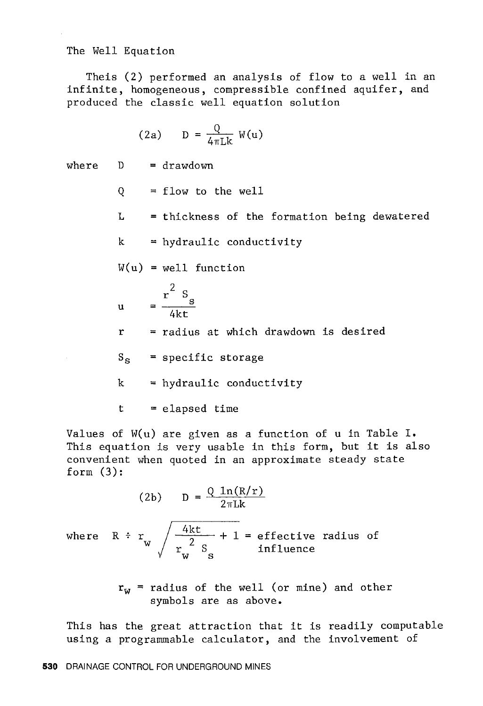The Well Equation

Theis (2) performed an analysis of flow to a well in an infinite, homogeneous, compressible confined aquifer, and produced the classic well equation solution

$$
(2a) \qquad D = \frac{Q}{4\pi Lk} \ W(u)
$$

where  $D = drawdown$ 

 $Q = f$ low to the well

 $L =$  thickness of the formation being dewatered

k hydraulic conductivity

$$
W(u) = well function
$$

$$
u = \frac{r^2 s_s}{4kt}
$$

 $r =$  radius at which drawdown is desired

 $S_S$  = specific storage

 $k = hydraulic conductivity$ 

 $t = elapped time$ 

Values of W(u) are given as a function of u in Table I. This equation is very usable in this form, but it is also convenient when quoted in an approximate steady state form  $(3)$ :

$$
(2b) \qquad D = \frac{Q \ln(R/r)}{2\pi L k}
$$

where  $R \div r$ ,  $\frac{4kt}{2} + 1 =$  effective radius of influence

$$
r_{W}
$$
 = radius of the well (or mine) and other symbols are as above.

This has the great attraction that it is readily computable using a programmable calculator, and the involvement of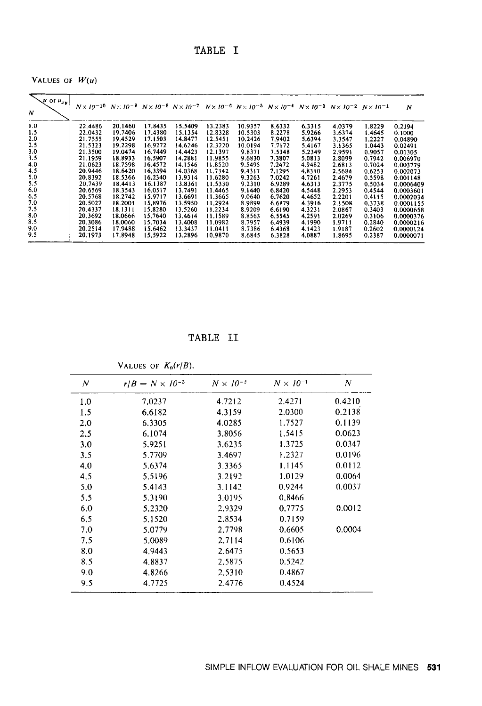### TABLE I

VALUES OF  $W(u)$ 

| $\sqrt{u}$ or $u_{xy}$<br>N | $N \times 10^{-10}$ $N \times 10^{-9}$ $N \times 10^{-8}$ $N \times 10^{-7}$ $N \times 10^{-6}$ $N \times 10^{-5}$ $N \times 10^{-4}$ $N \times 10^{-3}$ $N \times 10^{-2}$ $N \times 10^{-1}$ |         |         |         |         |         |        |        |        |        | N         |
|-----------------------------|------------------------------------------------------------------------------------------------------------------------------------------------------------------------------------------------|---------|---------|---------|---------|---------|--------|--------|--------|--------|-----------|
| 1.0                         | 22.4486                                                                                                                                                                                        | 20 1460 | 17.8435 | 15.5409 | 13.2383 | 10.9357 | 8.6332 | 6.3315 | 4.0379 | 1.8229 | 0.2194    |
| 1.5                         | 22.0432                                                                                                                                                                                        | 19.7406 | 17.4380 | 15.1354 | 12.8328 | 10.5303 | 8.2278 | 5.9266 | 3.6374 | 1.4645 | 0.1000    |
| 2.0                         | 21.7555                                                                                                                                                                                        | 19.4529 | 17.1503 | 14.8477 | 12.5451 | 10.2426 | 7.9402 | 5.6394 | 3.3547 | 1.2227 | 0.04890   |
| 2.5                         | 21.5323                                                                                                                                                                                        | 19.2298 | 16.9272 | 14.6246 | 12.3220 | 10.0194 | 7.7172 | 5.4167 | 3.1365 | 1.0443 | 0.02491   |
| 3.0                         | 21.3500                                                                                                                                                                                        | 19.0474 | 16.7449 | 14.4423 | 12.1397 | 9.8371  | 7.5348 | 5.2349 | 2.9591 | 0.9057 | 0.01305   |
| 3.5                         | 21.1959                                                                                                                                                                                        | 18.8933 | 16.5907 | 14.2881 | 11.9855 | 9.6830  | 7.3807 | 5.0813 | 2.8099 | 0.7942 | 0.006970  |
| 4.0                         | 21.0623                                                                                                                                                                                        | 18.7598 | 16.4572 | 14.1546 | 11.8520 | 9.5495  | 7.2472 | 4.9482 | 2.6813 | 0.7024 | 0.003779  |
| 4.5                         | 20.9446                                                                                                                                                                                        | 18.6420 | 16.3394 | 14.0368 | 11.7342 | 9.4317  | 7.1295 | 4.8310 | 2.5684 | 0.6253 | 0.002073  |
| 5.0                         | 20.8392                                                                                                                                                                                        | 18.5366 | 16.2340 | 13.9314 | 11.6280 | 9.3263  | 7.0242 | 4.7261 | 2.4679 | 0.5598 | 0.001148  |
| 5.5                         | 20.7439                                                                                                                                                                                        | 18.4413 | 16.1387 | 13.8361 | 11.5330 | 9.2310  | 6.9289 | 4.6313 | 2.3775 | 0.5034 | 0.0006409 |
| 6.0                         | 20.6569                                                                                                                                                                                        | 18.3543 | 16.0517 | 13.7491 | 11.4465 | 9.1440  | 6.8420 | 4.5448 | 2.2953 | 0.4544 | 0.0003601 |
| 6.5                         | 20.5768                                                                                                                                                                                        | 18.2742 | 15.9717 | 13.6691 | 11.3665 | 9.0640  | 6.7620 | 4.4652 | 2.2201 | 0.4115 | 0.0002034 |
| 7.0                         | 20.5027                                                                                                                                                                                        | 18.2001 | 15.8976 | 13.5950 | 11.2924 | 8.9899  | 6.6879 | 4.3916 | 2.1508 | 0.3738 | 0.0001155 |
| 7.5                         | 20.4337                                                                                                                                                                                        | 18.1311 | 15.8280 | 13.5260 | 11.2234 | 8.9209  | 6.6190 | 4.3231 | 2.0867 | 0.3403 | 0.0000658 |
| 8.0                         | 20.3692                                                                                                                                                                                        | 18.0666 | 15.7640 | 13.4614 | 11.1589 | 8.8563  | 6.5545 | 4.2591 | 2.0269 | 0.3106 | 0.0000376 |
| 8.5                         | 20.3086                                                                                                                                                                                        | 18.0060 | 15.7034 | 13.4008 | 11.0982 | 8.7957  | 6.4939 | 4.1990 | 1.9711 | 0.2840 | 0.0000216 |
| 9.0                         | 20.2514                                                                                                                                                                                        | 17.9488 | 15.6462 | 13.3437 | 11.0411 | 8.7386  | 6.4368 | 4.1423 | 1.9187 | 0.2602 | 0.0000124 |
| 9.5                         | 20.1973                                                                                                                                                                                        | 17.8948 | 15.5922 | 13.2896 | 10.9870 | 86845   | 6.3828 | 4.0887 | 18695  | 0.2387 | 0.0000071 |

TABLE II

VALUES OF  $K_0(r/B)$ .

| N   | $r/B = N \times 10^{-3}$ | $N \times 10^{-2}$ | $N \times 10^{-1}$ | N      |
|-----|--------------------------|--------------------|--------------------|--------|
| 1.0 | 7.0237                   | 4.7212             | 2.4271             | 0.4210 |
| 1.5 | 6.6182                   | 4.3159             | 2.0300             | 0.2138 |
| 2.0 | 6.3305                   | 4.0285             | 1.7527             | 0.1139 |
| 2.5 | 6.1074                   | 3.8056             | 1.5415             | 0.0623 |
| 3.0 | 5.9251                   | 3.6235             | 1.3725             | 0.0347 |
| 3.5 | 5.7709                   | 3.4697             | 1.2327             | 0.0196 |
| 4.0 | 5.6374                   | 3.3365             | 1.1145             | 0.0112 |
| 4.5 | 5.5196                   | 3.2192             | 1.0129             | 0.0064 |
| 5.0 | 5.4143                   | 3.1142             | 0.9244             | 0.0037 |
| 5.5 | 5.3190                   | 3.0195             | 0.8466             |        |
| 6.0 | 5.2320                   | 2.9329             | 0.7775             | 0.0012 |
| 6.5 | 5.1520                   | 2.8534             | 0.7159             |        |
| 7.0 | 5.0779                   | 2.7798             | 0.6605             | 0.0004 |
| 7.5 | 5.0089                   | 2.7114             | 0.6106             |        |
| 8.0 | 4.9443                   | 2.6475             | 0.5653             |        |
| 8.5 | 4.8837                   | 2.5875             | 0.5242             |        |
| 9.0 | 4.8266                   | 2.5310             | 0.4867             |        |
| 9.5 | 4.7725                   | 2.4776             | 0.4524             |        |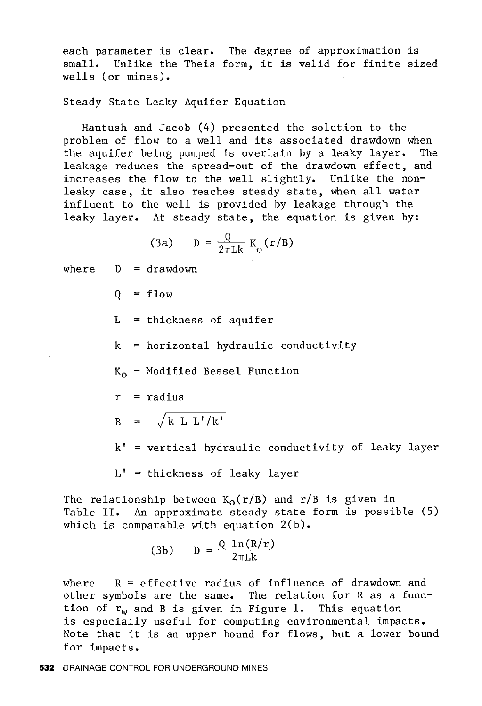each parameter is clear. The degree of approximation is small. Unlike the Theis form, it is valid for finite sized wells (or mines).

Steady State Leaky Aquifer Equation

Hantush and Jacob (4) presented the solution to the problem of flow to a well and its associated drawdown when the aquifer being pumped is overlain by a leaky layer. The leakage reduces the spread-out of the drawdown effect, and increases the flow to the well slightly. Unlike the nonleaky case, it also reaches steady state, when all water influent to the well is provided by leakage through the leaky layer. At steady state, the equation is given by:

$$
(3a) \qquad D = \frac{Q}{2\pi Lk} K_0(r/B)
$$

where  $D = drawdown$ 

 $0 = f$ low

 $L =$  thickness of aquifer

 $k =$  horizontal hydraulic conductivity

 $K_0$  = Modified Bessel Function

 $r =$  radius

 $B = \sqrt{k L L'/k'}$ 

 $k'$  = vertical hydraulic conductivity of leaky layer

 $L'$  = thickness of leaky layer

The relationship between  $K_0(r/B)$  and r/B is given in Table II. An approximate steady state form is possible (5) which is comparable with equation 2(b).

$$
(3b) \qquad D = \frac{Q \ln(R/r)}{2\pi Lk}
$$

where  $R =$  effective radius of influence of drawdown and other symbols are the same. The relation for R as a function of  $r_w$  and B is given in Figure 1. This equation is especially useful for computing environmental impacts. Note that it is an upper bound for flows, but a lower bound for impacts.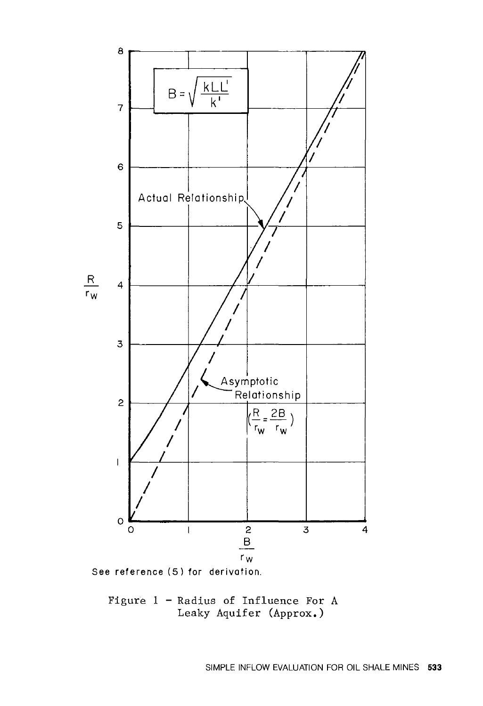



Figure 1 - Radius of Influence For A Leaky Aquifer (Approx.)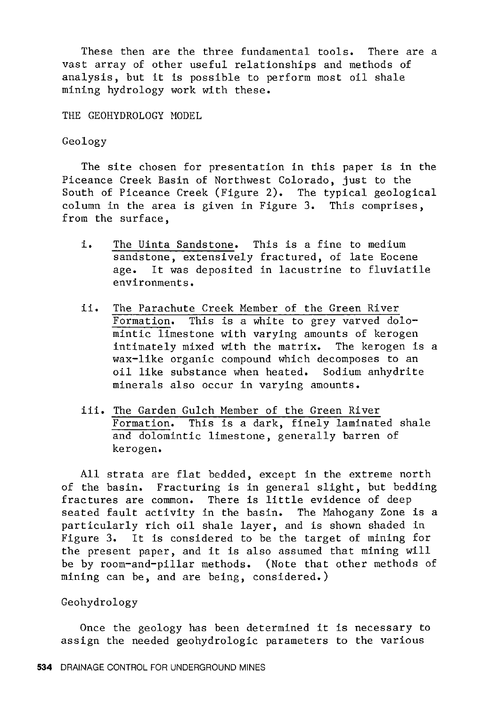These then are the three fundamental tools. There are a vast array of other useful relationships and methods of analysis, but it is possible to perform most oil shale mining hydrology work with these.

THE GEOHYDROLOGY MODEL

Geology

The site chosen for presentation in this paper is in the Piceance Creek Basin of Northwest Colorado, just to the South of Piceance Creek (Figure 2). The typical geological column in the area is given in Figure 3. This comprises, from the surface,

- i. The Uinta Sandstone. This is a fine to medium sandstone, extensively fractured, of late Eocene age. It was deposited in lacustrine to fluviatile environments.
- ii. The Parachute Creek Member of the Green River Formation. This is a white to grey varved dolomintic limestone with varying amounts of kerogen intimately mixed with the matrix. The kerogen is a wax-like organic compound which decomposes to an oil like substance when heated. Sodium anhydrite minerals also occur in varying amounts.
- iii. The Garden Gulch Member of the Green River Formation. This is a dark, finely laminated shale and dolomintic limestone, generally barren of kerogen.

All strata are flat bedded, except in the extreme north of the basin. Fracturing is in general slight, but bedding fractures are common. There is little evidence of deep seated fault activity in the basin. The Mahogany Zone is a particularly rich oil shale layer, and is shown shaded in Figure 3. It is considered to be the target of mining for the present paper, and it is also assumed that mining will be by room-and-pillar methods. (Note that other methods of mining can be, and are being, considered.)

#### Geohydrology

Once the geology has been determined it is necessary to assign the needed geohydrologic parameters to the various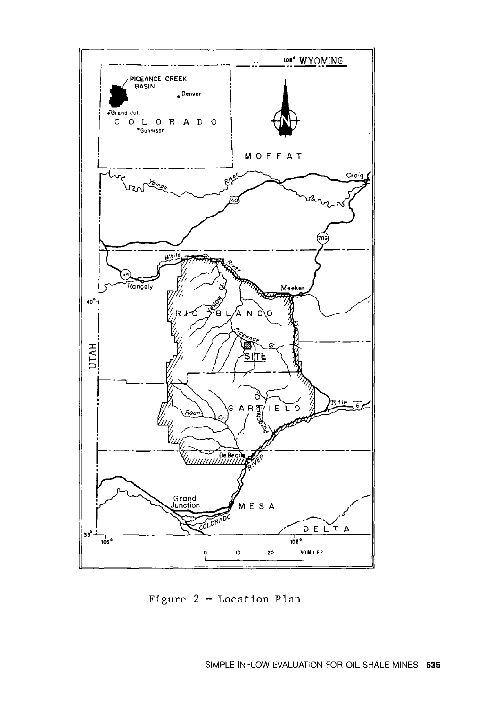

Figure  $2 -$  Location Plan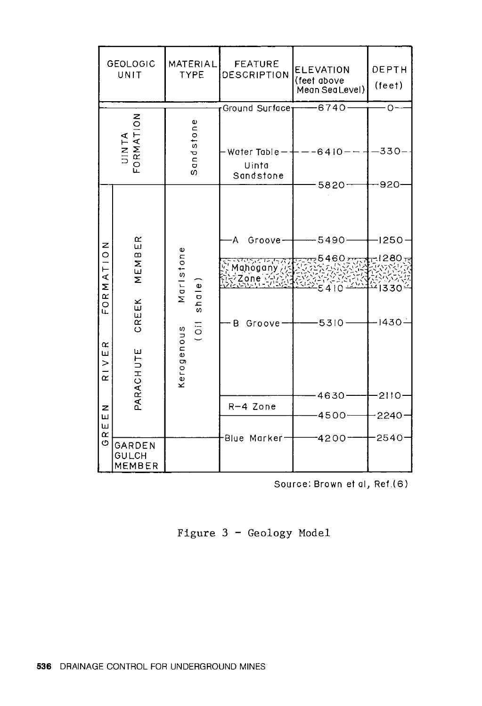| <b>GEOLOGIC</b><br>UNIT                                            |                                                 | MATERIAL<br><b>TYPE</b>                          | <b>FEATURE</b><br>DESCRIPTION                                                             | <b>ELEVATION</b><br>(feet above<br>Meon Sea Level)            | DEPTH<br>(1e e)                      |
|--------------------------------------------------------------------|-------------------------------------------------|--------------------------------------------------|-------------------------------------------------------------------------------------------|---------------------------------------------------------------|--------------------------------------|
|                                                                    |                                                 |                                                  | Ground Surface <sub>1</sub>                                                               | 6740                                                          | O                                    |
| UINTA<br>FORMATION                                                 |                                                 | andstone<br>$\omega$                             | Water Table $-$<br>Uinta<br>Sandstone                                                     | $6410 -$                                                      | 330                                  |
|                                                                    |                                                 |                                                  |                                                                                           | 5820 <sup>-</sup>                                             | 920                                  |
| z<br>$\circ$<br>RMATI<br>$\circ$<br>LL.<br>$\alpha$<br>ш<br>$\geq$ | œ<br>ш<br>$\bf{m}$<br>MEM<br>CREEK<br>PARACHUTE | Maristone<br>shq<br>$\overline{5}$<br>Kerogenous | Α<br>Groove-<br><i>הרידו הראויירו</i><br><sub>מ</sub> ל Mahogany (א<br>222<br>B<br>Groove | -5490—<br>$5460 \, \pi$<br>دجوا بيتما<br>$-5410$<br>$-5310 -$ | $-1250$<br>-1280<br>1330 کنگ<br>1430 |
| $\overline{\alpha}$                                                |                                                 |                                                  |                                                                                           |                                                               |                                      |
|                                                                    |                                                 |                                                  |                                                                                           | $4630 -$                                                      | 2110                                 |
| z<br>Щ                                                             |                                                 |                                                  | R-4 Zone                                                                                  | -4500-                                                        | 2240                                 |
| ш<br>$\alpha$                                                      |                                                 |                                                  | -Blue Marker <sup>.</sup>                                                                 | 4200 <sup>.</sup>                                             | 2540                                 |
| O                                                                  | GARDEN<br>GULCH<br>MEMBER                       |                                                  |                                                                                           |                                                               |                                      |

Source: Brown et al, Ref.(6)

Figure 3 - Geology Model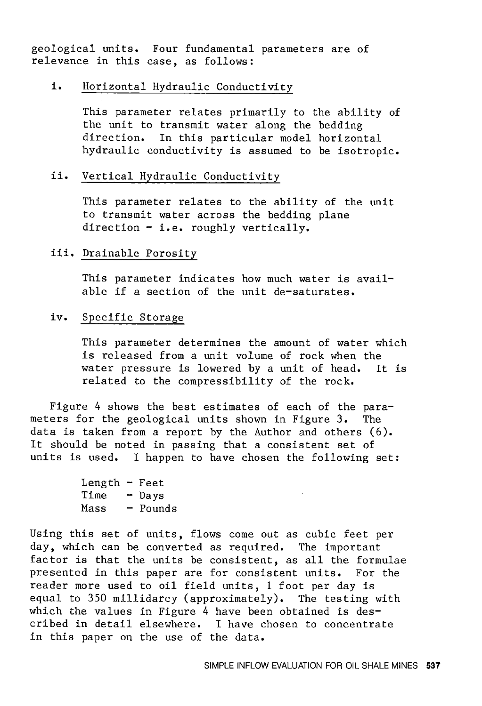geological units. Four fundamental parameters are of relevance in this case, as follows:

#### i. Horizontal Hydraulic Conductivity

This parameter relates primarily to the ability of the unit to transmit water along the bedding direction. In this particular model horizontal hydraulic conductivity is assumed to be isotropic.

#### ii. Vertical Hydraulic Conductivity

This parameter relates to the ability of the unit to transmit water across the bedding plane direction - i.e. roughly vertically.

#### iii. Drainable Porosity

This parameter indicates how much water is available if a section of the unit de-saturates.

#### iv. Specific Storage

This parameter determines the amount of water which is released from a unit volume of rock when the water pressure is lowered by a unit of head. It is related to the compressibility of the rock.

Figure 4 shows the best estimates of each of the parameters for the geological units shown in Figure 3. The data is taken from a report by the Author and others (6). It should be noted in passing that a consistent set of units is used. I happen to have chosen the following set:

| Length $-$ Feet |          |
|-----------------|----------|
| Time            | - Days   |
| Mass            | - Pounds |

Using this set of units, flows come out as cubic feet per day, which can be converted as required. The important factor is that the units be consistent, as all the formulae presented in this paper are for consistent units. For the reader more used to oil field units, 1 foot per day is equal to 350 millidarcy (approximately). The testing with which the values in Figure 4 have been obtained is described in detail elsewhere. I have chosen to concentrate in this paper on the use of the data.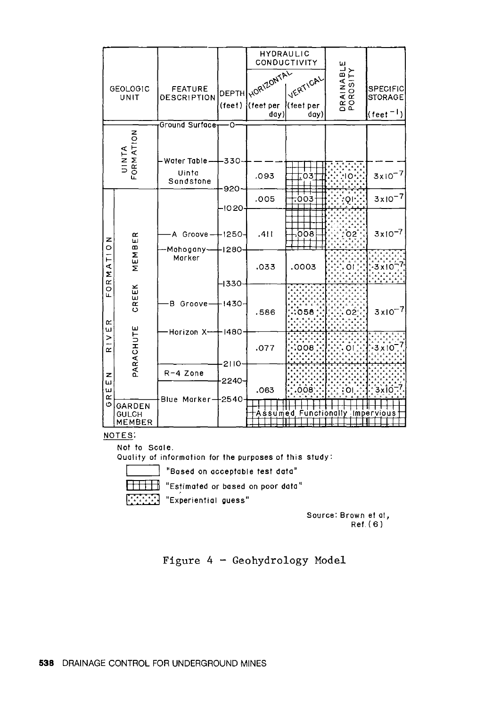|                              |                                         |                                      |                              | HYDRAULIC                              | CONDUCTIVITY                  |                                  |                                                             |
|------------------------------|-----------------------------------------|--------------------------------------|------------------------------|----------------------------------------|-------------------------------|----------------------------------|-------------------------------------------------------------|
| <b>GEOLOGIC</b><br>UNIT      |                                         | <b>FEATURE</b><br><b>DESCRIPTION</b> | $($ fee $\dagger$ $)$        | DEPTH NORIZONTAL<br>l(feet per<br>day) | VERTICAL<br>(feet per<br>day) | DRAINABLE<br>POROSITY            | <b>SPECIFIC</b><br><b>STORAGE</b><br>(feet <sup>- I</sup> ) |
|                              |                                         | Ground Surface                       | ٠O                           |                                        |                               |                                  |                                                             |
|                              | UINTA<br>FORMATION                      | Water Table.                         | -330                         |                                        |                               |                                  |                                                             |
|                              |                                         | Uinta<br>Sandstone                   | 920                          | .093                                   | 03.                           |                                  | $3x10^{-7}$                                                 |
|                              |                                         |                                      |                              | .005                                   | 7003                          |                                  | $3x10^{-7}$                                                 |
| z<br>$\circ$                 | ER<br>MEMB                              | A Groove-<br>Mahogany-               | $-1020$<br>-1250-<br>$-1280$ | .411                                   | 800.                          | Ō2                               | $3x10^{-7}$                                                 |
| MATI                         |                                         | Morker                               |                              |                                        | .033                          | .0003                            | Õ۱                                                          |
| $\frac{\alpha}{\alpha}$<br>щ | CREEK                                   | в<br>Groove-                         | -1330<br>-1430               | .586                                   | 058                           | O2°                              | $3x10^{-7}$                                                 |
| œ<br>ш<br>><br>$\alpha$      | PARACHUTE                               | Horizon X-                           | $-1480$                      | .077                                   | 008                           | ΩĪ                               | $-3 \times 10$                                              |
| z<br>ш                       |                                         | $R-4$ Zone                           | $2110-$<br>2240              |                                        |                               |                                  |                                                             |
| ш<br>œ                       |                                         | Blue Marker-                         | -2540                        | .063                                   | :ōōĕ;                         | ا OI                             | 3xIO                                                        |
| Ó                            | GARDEN<br><b>GULCH</b><br><b>MEMBER</b> |                                      |                              |                                        |                               | -Assumed Functionally impervious |                                                             |

NOTES:

Not to Scale.

Quality of information for the purposes of this study:

"Based on acceptable test data" **Experiential guess"** 

**HITH** "Estimated or based on poor data"

Source: Brown et at,

Ref. (6)

Figure 4 - Geohydrology Model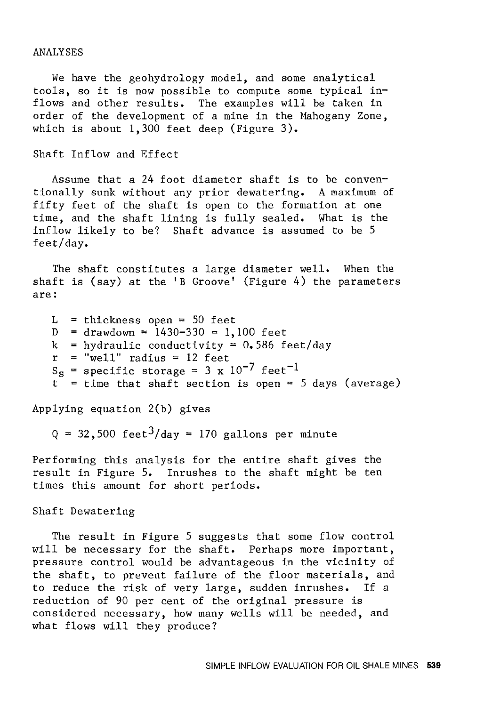#### ANALYSES

We have the geohydrology model, and some analytical tools, so it is now possible to compute some typical inflows and other results. The examples will be taken in order of the development of a mine in the Mahogany Zone, which is about 1,300 feet deep (Figure 3).

Shaft Inflow and Effect

Assume that a 24 foot diameter shaft is to be conventionally sunk without any prior dewatering. A maximum of fifty feet of the shaft is open to the formation at one time, and the shaft lining is fully sealed. What is the inflow likely to be? Shaft advance is assumed to be 5 feet/day.

The shaft constitutes a large diameter well. When the shaft is (say) at the 'B Groove' (Figure 4) the parameters are:

 $L =$  thickness open = 50 feet  $D =$  drawdown = 1430-330 = 1,100 feet k = hydraulic conductivity =  $0.586$  feet/day  $r = "well" radius = 12 feet$  $S_S$  = specific storage = 3 x 10<sup>-7</sup> feet<sup>-1</sup>  $t =$  time that shaft section is open = 5 days (average)

Applying equation 2(b) gives

 $Q = 32,500 \text{ feet}^3/\text{day} = 170 \text{ gallons per minute}$ 

Performing this analysis for the entire shaft gives the result in Figure 5. Inrushes to the shaft might be ten times this amount for short periods.

Shaft Dewatering

The result in Figure 5 suggests that some flow control will be necessary for the shaft. Perhaps more important, pressure control would be advantageous in the vicinity of the shaft, to prevent failure of the floor materials, and to reduce the risk of very large, sudden inrushes. If a reduction of 90 per cent of the original pressure is considered necessary, how many wells will be needed, and what flows will they produce?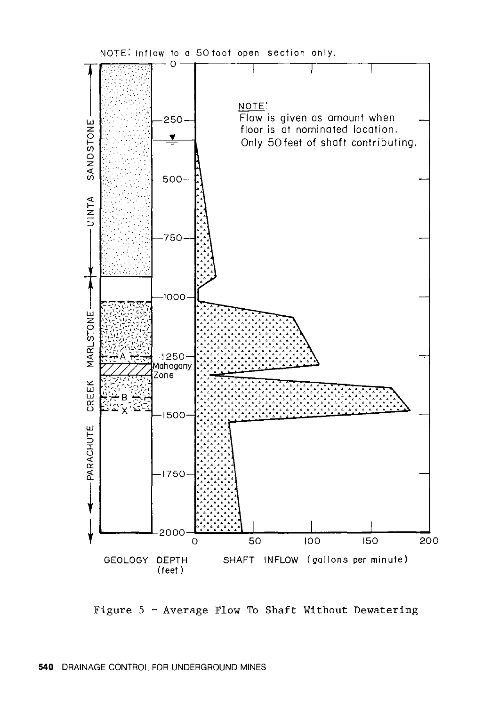

Figure  $5 -$  Average Flow To Shaft Without Dewatering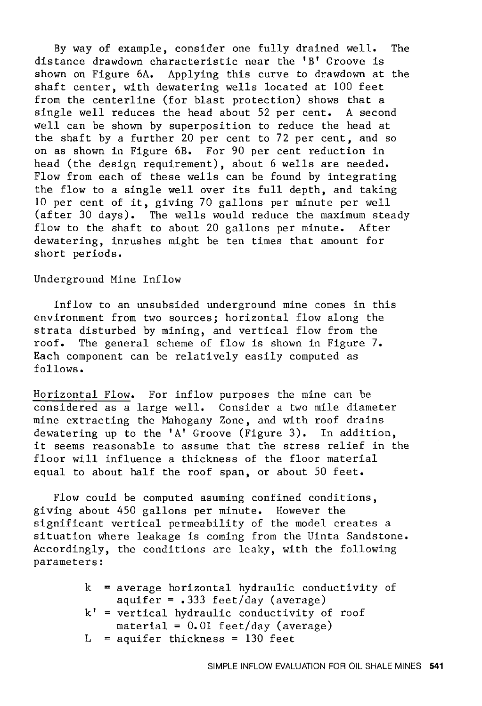By way of example, consider one fully drained well. The distance drawdown characteristic near the 'B' Groove is shown on Figure 6A. Applying this curve to drawdown at the shaft center, with dewatering wells located at 100 feet from the centerline (for blast protection) shows that a single well reduces the head about 52 per cent. A second well can be shown by superposition to reduce the head at the shaft by a further 20 per cent to 72 per cent, and so on as shown in Figure 6B. For 90 per cent reduction in head (the design requirement), about 6 wells are needed. Flow from each of these wells can be found by integrating the flow to a single well over its full depth, and taking 10 per cent of it, giving 70 gallons per minute per well (after 30 days). The wells would reduce the maximum steady flow to the shaft to about 20 gallons per minute. After dewatering, inrushes might be ten times that amount for short periods.

#### Underground Mine Inflow

Inflow to an unsubsided underground mine comes in this environment from two sources; horizontal flow along the strata disturbed by mining, and vertical flow from the roof. The general scheme of flow is shown in Figure 7. Each component can be relatively easily computed as follows.

Horizontal Flow. For inflow purposes the mine can be considered as a large well. Consider a two mile diameter mine extracting the Mahogany Zone, and with roof drains dewatering up to the 'A' Groove (Figure 3). In addition, it seems reasonable to assume that the stress relief in the floor will influence a thickness of the floor material equal to about half the roof span, or about 50 feet.

Flow could be computed asuming confined conditions, giving about 450 gallons per minute. However the significant vertical permeability of the model creates a situation where leakage is coming from the Uinta Sandstone. Accordingly, the conditions are leaky, with the following parameters:

|  | $k$ = average horizontal hydraulic conductivity of |
|--|----------------------------------------------------|
|  | $aquifer = .333 feet/day (average)$                |
|  | $k'$ = vertical hydraulic conductivity of roof     |
|  | material = $0.01$ feet/day (average)               |
|  | $L = a$ quifer thickness = 130 feet                |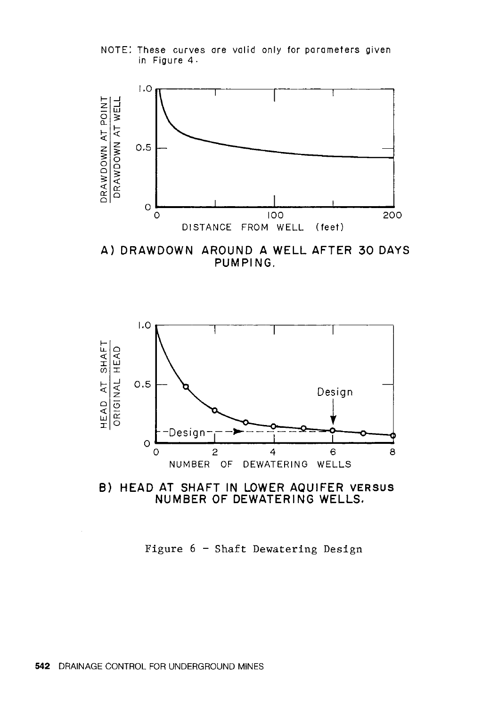NOTE: These curves are valid only for parameters given in Figure 4.



**A) DRAWDOWN AROUND A WELL AFTER 30 DAYS PUMPING.** 





Figure  $6$  - Shaft Dewatering Design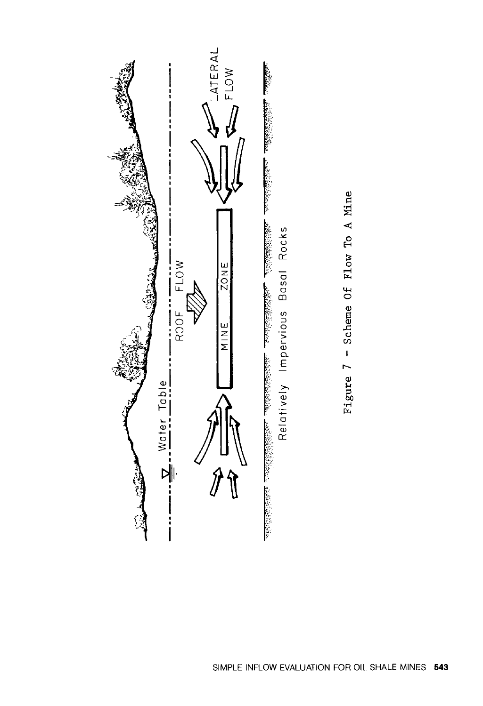

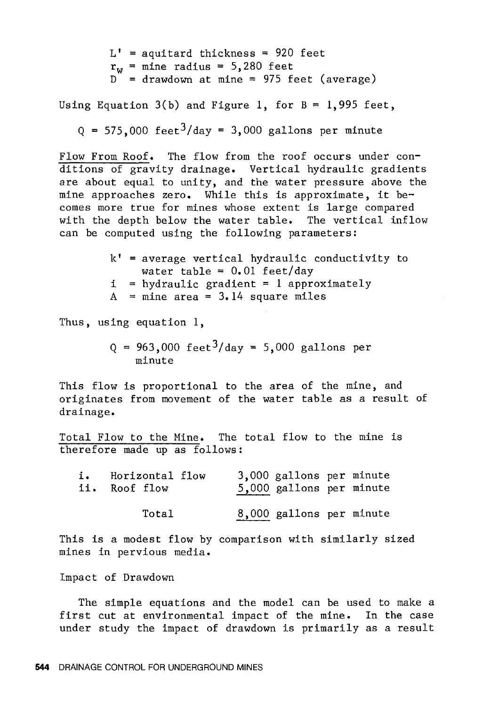$L'$  = aquitard thickness = 920 feet  $r_{w}$  = mine radius = 5,280 feet  $D =$  drawdown at mine = 975 feet (average)

Using Equation  $3(b)$  and Figure 1, for  $B = 1,995$  feet,

 $Q = 575,000$  feet<sup>3</sup>/day = 3,000 gallons per minute

Flow From Roof. The flow from the roof occurs under conditions of gravity drainage. Vertical hydraulic gradients are about equal to unity, and the water pressure above the mine approaches zero. While this is approximate, it becomes more true for mines whose extent is large compared with the depth below the water table. The vertical inflow can be computed using the following parameters:

> $k'$  = average vertical hydraulic conductivity to water table =  $0.01$  feet/day  $i = h$ ydraulic gradient = 1 approximately  $A =$  mine area = 3.14 square miles

Thus, using equation 1,

 $Q = 963,000 \text{ feet}^3/\text{day} = 5,000 \text{ gallons per}$ minute

This flow is proportional to the area of the mine, and originates from movement of the water table as a result of drainage.

Total Flow to the Mine. The total flow to the mine is therefore made up as follows:

| i. | Horizontal flow<br>ii. Roof flow | 3,000 gallons per minute<br>5,000 gallons per minute |
|----|----------------------------------|------------------------------------------------------|
|    | Total                            | 8,000 gallons per minute                             |

This is a modest flow by comparison with similarly sized mines in pervious media.

Impact of Drawdown

The simple equations and the model can be used to make a first cut at environmental impact of the mine. In the case under study the impact of drawdown is primarily as a result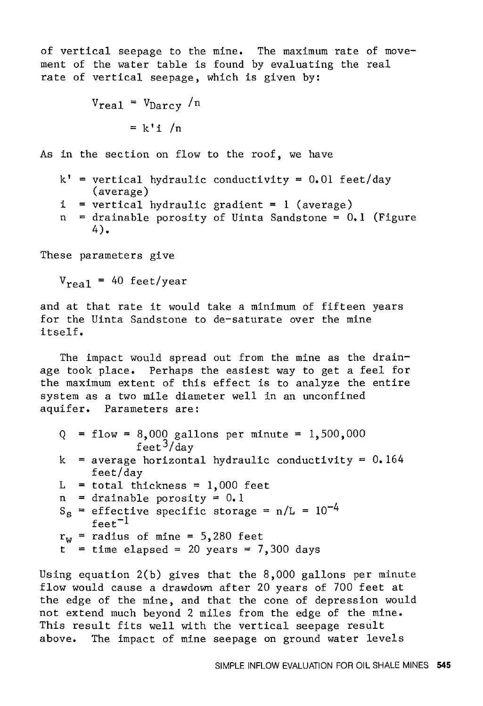of vertical seepage to the mine. The maximum rate of movement of the water table is found by evaluating the real rate of vertical seepage, which is given by:

$$
V_{\text{real}} = V_{\text{Darcy}} / n
$$

$$
= k' i / n
$$

As in the section on flow to the roof, we have

- $k'$  = vertical hydraulic conductivity = 0.01 feet/day (average)
- i vertical hydraulic gradient = 1 (average)
- n drainable porosity of Uinta Sandstone = 0.1 (Figure 4).

These parameters give

 $V_{\text{real}}$  = 40 feet/year

and at that rate it would take a minimum of fifteen years for the Uinta Sandstone to de-saturate over the mine itself.

The impact would spread out from the mine as the drainage took place. Perhaps the easiest way to get a feel for the maximum extent of this effect is to analyze the entire system as a two mile diameter well in an unconfined aquifer. Parameters are:

- $Q =$  flow = 8,000 gallons per minute = 1,500,000  $f$ eet<sup>3</sup>/day
- k average horizontal hydraulic conductivity= 0.164 feet/day
- $L$  $=$  total thickness  $=$  1,000 feet
- $n =$  drainable porosity = 0.1
- $S_S$  = effective specific storage =  $n/L = 10^{-4}$  $f$ eet $^{-1}$
- $r_w$  = radius of mine = 5,280 feet
- $t = time elapsed = 20 years = 7,300 days$

Using equation 2(b) gives that the 8,000 gallons per minute flow would cause a drawdown after 20 years of 700 feet at the edge of the mine, and that the cone of depression would not extend much beyond 2 miles from the edge of the mine. This result fits well with the vertical seepage result above. The impact of mine seepage on ground water levels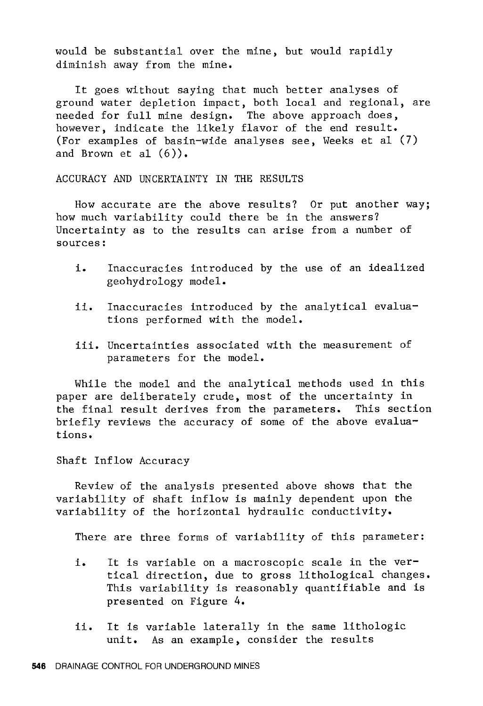would be substantial over the mine, but would rapidly diminish away from the mine.

It goes without saying that much better analyses of ground water depletion impact, both local and regional, are needed for full mine design. The above approach does, however, indicate the likely flavor of the end result. (For examples of basin-wide analyses see, Weeks et al (7) and Brown et al  $(6)$ ).

ACCURACY AND UNCERTAINTY IN THE RESULTS

How accurate are the above results? Or put another way; how much variability could there be in the answers? Uncertainty as to the results can arise from a number of sources:

- i. Inaccuracies introduced by the use of an idealized geohydrology model.
- ii. Inaccuracies introduced by the analytical evaluations performed with the model.
- iii. Uncertainties associated with the measurement of parameters for the model.

While the model and the analytical methods used in this paper are deliberately crude, most of the uncertainty in the final result derives from the parameters. This section briefly reviews the accuracy of some of the above evaluations.

Shaft Inflow Accuracy

Review of the analysis presented above shows that the variability of shaft inflow is mainly dependent upon the variability of the horizontal hydraulic conductivity.

There are three forms of variability of this parameter:

- i, It is variable on a macroscopic scale in the vertical direction, due to gross lithological changes. This variability is reasonably quantifiable and is presented on Figure 4.
- ii. It is variable laterally in the same lithologic unit. As an example, consider the results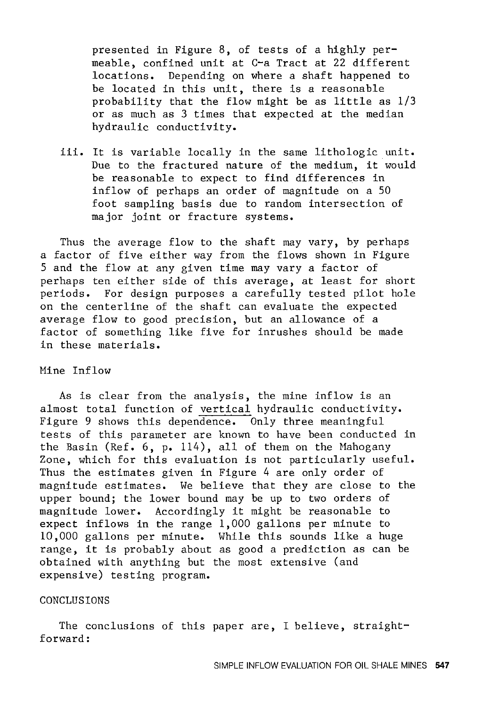presented in Figure 8, of tests of a highly permeable, confined unit at C-a Tract at 22 different locations. Depending on where a shaft happened to be located in this unit, there is a reasonable probability that the flow might be as little as 1/3 or as much as 3 times that expected at the median hydraulic conductivity.

iii. It is variable locally in the same lithologic unit. Due to the fractured nature of the medium, it would be reasonable to expect to find differences in inflow of perhaps an order of magnitude on a 50 foot sampling basis due to random intersection of major joint or fracture systems.

Thus the average flow to the shaft may vary, by perhaps a factor of five either way from the flows shown in Figure 5 and the flow at any given time may vary a factor of perhaps ten either side of this average, at least for short periods. For design purposes a carefully tested pilot hole on the centerline of the shaft can evaluate the expected average flow to good precision, but an allowance of a factor of something like five for inrushes should be made in these materials.

#### Mine Inf low

As is clear from the analysis, the mine inflow is an almost total function of vertical hydraulic conductivity. Figure 9 shows this dependence. Only three meaningful tests of this parameter are known to have been conducted in the Basin (Ref. 6, p. 114), all of them on the Mahogany Zone, which for this evaluation is not particularly useful. Thus the estimates given in Figure 4 are only order of magnitude estimates. We believe that they are close to the upper bound; the lower bound may be up to two orders of magnitude lower. Accordingly it might be reasonable to expect inflows in the range 1,000 gallons per minute to 10,000 gallons per minute. While this sounds like a huge range, it is probably about as good a prediction as can be obtained with anything but the most extensive (and expensive) testing program.

#### CONCLUSIONS

The conclusions of this paper are, I believe, straightforward: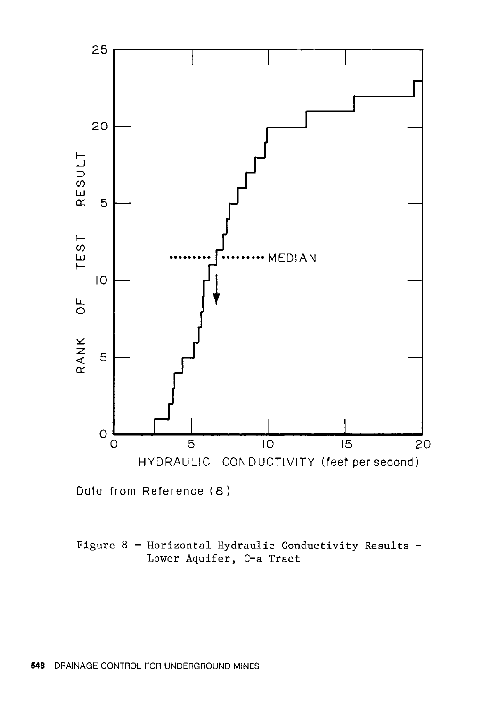

Data from Reference (8)

## Figure 8 - Horizontal Hydraulic Conductivity Results -Lower Aquifer, C-a Tract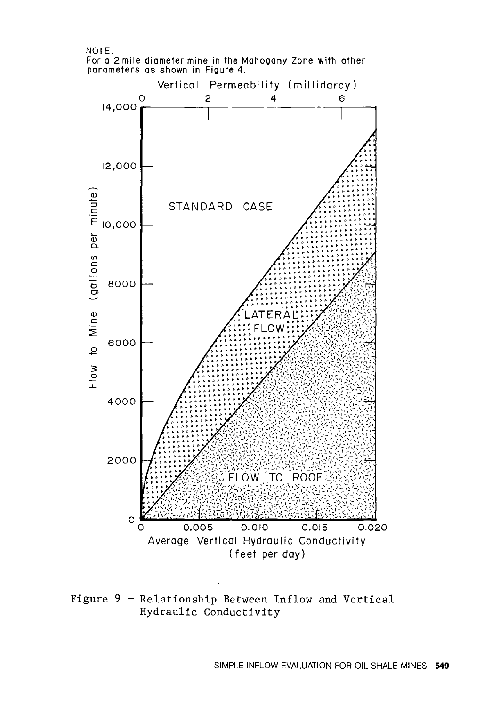#### NOTE:

For a 2 mile diameter mine in the Mahogany Zone with other parameters as shown in Figure 4.



Figure 9 - Relationship Between Inflow and Vertical Hydraulic Conductivity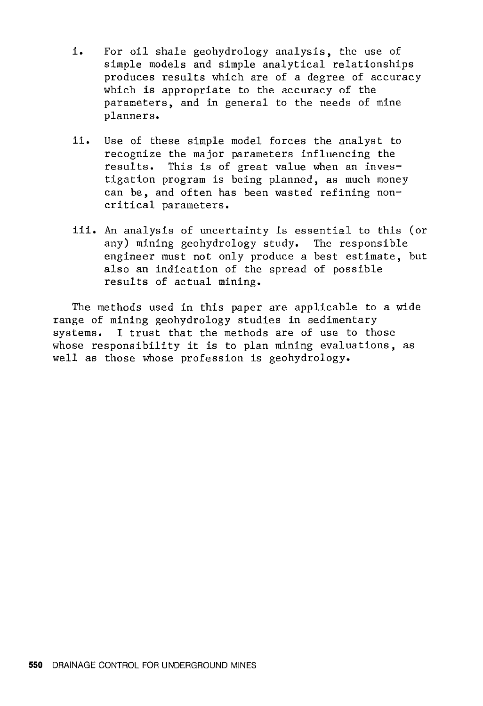- i. For oil shale geohydrology analysis, the use of simple models and simple analytical relationships produces results which are of a degree of accuracy which is appropriate to the accuracy of the parameters, and in general to the needs of mine planners.
- ii. Use of these simple model forces the analyst to recognize the major parameters influencing the results. This is of great value when an investigation program is being planned, as much money can be, and often has been wasted refining noncritical parameters.
- iii. An analysis of uncertainty is essential to this (or any) mining geohydrology study. The responsible engineer must not only produce a best estimate, but also an indication of the spread of possible results of actual mining.

The methods used in this paper are applicable to a wide range of mining geohydrology studies in sedimentary systems. I trust that the methods are of use to those whose responsibility it is to plan mining evaluations, as well as those whose profession is geohydrology.